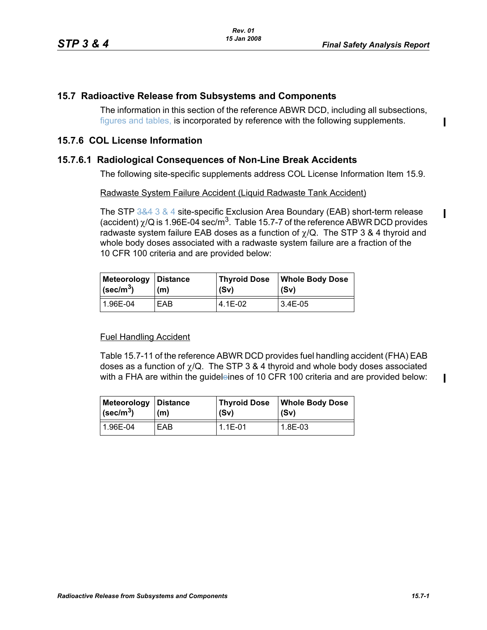П

Π

 $\blacksquare$ 

## **15.7 Radioactive Release from Subsystems and Components**

The information in this section of the reference ABWR DCD, including all subsections, figures and tables, is incorporated by reference with the following supplements.

# **15.7.6 COL License Information**

## **15.7.6.1 Radiological Consequences of Non-Line Break Accidents**

The following site-specific supplements address COL License Information Item 15.9.

#### Radwaste System Failure Accident (Liquid Radwaste Tank Accident)

The STP 3&4 3 & 4 site-specific Exclusion Area Boundary (EAB) short-term release (accident)  $\chi$ /Q is 1.96E-04 sec/m<sup>3</sup>. Table 15.7-7 of the reference ABWR DCD provides radwaste system failure EAB doses as a function of  $\chi$ /Q. The STP 3 & 4 thyroid and whole body doses associated with a radwaste system failure are a fraction of the 10 CFR 100 criteria and are provided below:

| Meteorology Distance | (m) | <b>Thyroid Dose</b> | <b>Whole Body Dose</b> |
|----------------------|-----|---------------------|------------------------|
| $(\text{sec/m}^3)$   |     | (Sv)                | (Sv)                   |
| 1.96E-04             | EAB | 4.1E-02             | 3.4E-05                |

#### Fuel Handling Accident

Table 15.7-11 of the reference ABWR DCD provides fuel handling accident (FHA) EAB doses as a function of  $\chi$ /Q. The STP 3 & 4 thyroid and whole body doses associated with a FHA are within the guideleines of 10 CFR 100 criteria and are provided below:

| Meteorology             | ∣Distance | <b>Thyroid Dose</b> | <b>Whole Body Dose</b> |
|-------------------------|-----------|---------------------|------------------------|
| $\sqrt{\text{sec/m}^3}$ | (m)       | (Sv)                | (Sv)                   |
| 1.96E-04                | EAB       | $1.1E - 01$         | 1.8E-03                |